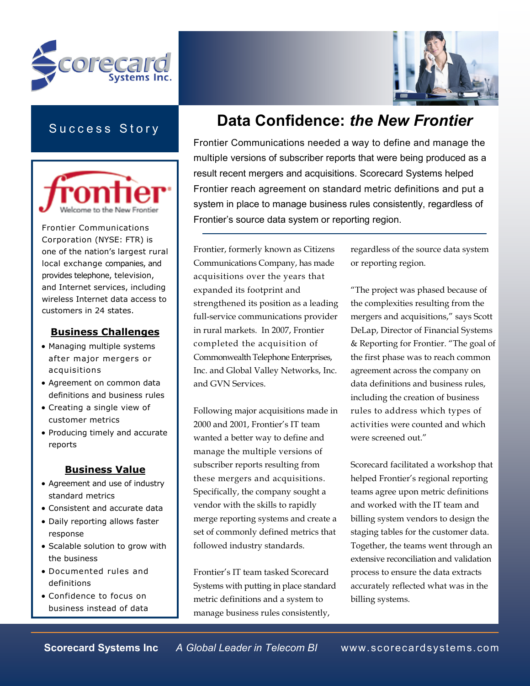



## Success Story



Frontier Communications Corporation (NYSE: FTR) is one of the nation's largest rural local exchange companies, and provides telephone, television, and Internet services, including wireless Internet data access to customers in 24 states.

#### Business Challenges

- Managing multiple systems after major mergers or acquisitions
- Agreement on common data definitions and business rules
- Creating a single view of customer metrics
- Producing timely and accurate reports

### Business Value

- Agreement and use of industry standard metrics
- Consistent and accurate data
- Daily reporting allows faster response
- Scalable solution to grow with the business
- Documented rules and definitions
- Confidence to focus on business instead of data

# Data Confidence: the New Frontier

Frontier Communications needed a way to define and manage the multiple versions of subscriber reports that were being produced as a result recent mergers and acquisitions. Scorecard Systems helped Frontier reach agreement on standard metric definitions and put a system in place to manage business rules consistently, regardless of Frontier's source data system or reporting region.

Frontier, formerly known as Citizens Communications Company, has made acquisitions over the years that expanded its footprint and strengthened its position as a leading full-service communications provider in rural markets. In 2007, Frontier completed the acquisition of Commonwealth Telephone Enterprises, Inc. and Global Valley Networks, Inc. and GVN Services.

Following major acquisitions made in 2000 and 2001, Frontier's IT team wanted a better way to define and manage the multiple versions of subscriber reports resulting from these mergers and acquisitions. Specifically, the company sought a vendor with the skills to rapidly merge reporting systems and create a set of commonly defined metrics that followed industry standards.

Frontier's IT team tasked Scorecard Systems with putting in place standard metric definitions and a system to manage business rules consistently,

regardless of the source data system or reporting region.

"The project was phased because of the complexities resulting from the mergers and acquisitions," says Scott DeLap, Director of Financial Systems & Reporting for Frontier. "The goal of the first phase was to reach common agreement across the company on data definitions and business rules, including the creation of business rules to address which types of activities were counted and which were screened out."

Scorecard facilitated a workshop that helped Frontier's regional reporting teams agree upon metric definitions and worked with the IT team and billing system vendors to design the staging tables for the customer data. Together, the teams went through an extensive reconciliation and validation process to ensure the data extracts accurately reflected what was in the billing systems.